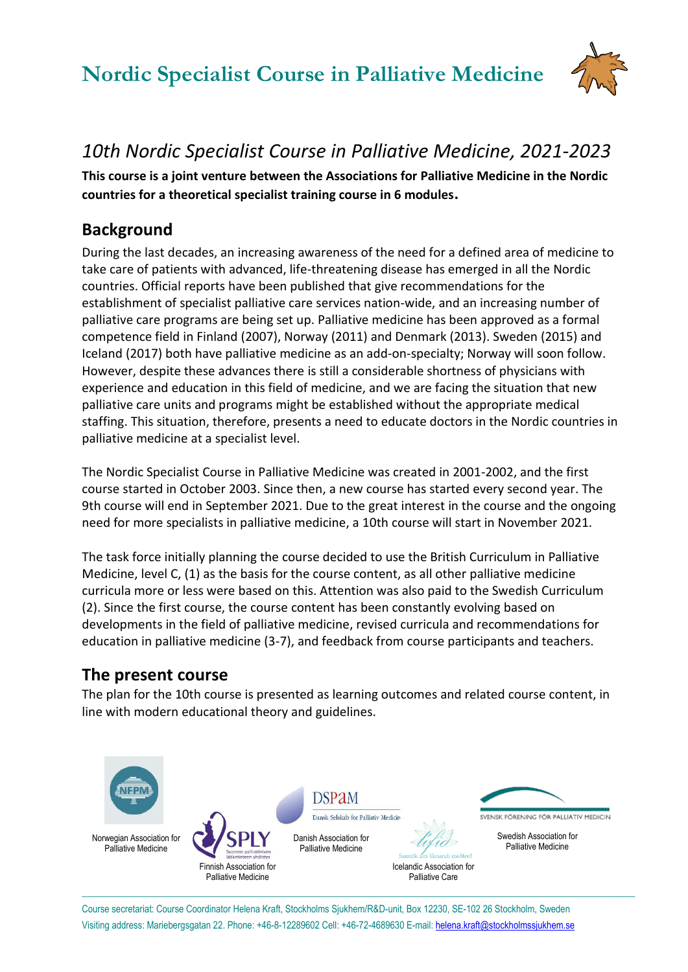# **Nordic Specialist Course in Palliative Medicine**



## *10th Nordic Specialist Course in Palliative Medicine, 2021-2023*

**This course is a joint venture between the Associations for Palliative Medicine in the Nordic countries for a theoretical specialist training course in 6 modules.**

## **Background**

During the last decades, an increasing awareness of the need for a defined area of medicine to take care of patients with advanced, life-threatening disease has emerged in all the Nordic countries. Official reports have been published that give recommendations for the establishment of specialist palliative care services nation-wide, and an increasing number of palliative care programs are being set up. Palliative medicine has been approved as a formal competence field in Finland (2007), Norway (2011) and Denmark (2013). Sweden (2015) and Iceland (2017) both have palliative medicine as an add-on-specialty; Norway will soon follow. However, despite these advances there is still a considerable shortness of physicians with experience and education in this field of medicine, and we are facing the situation that new palliative care units and programs might be established without the appropriate medical staffing. This situation, therefore, presents a need to educate doctors in the Nordic countries in palliative medicine at a specialist level.

The Nordic Specialist Course in Palliative Medicine was created in 2001-2002, and the first course started in October 2003. Since then, a new course has started every second year. The 9th course will end in September 2021. Due to the great interest in the course and the ongoing need for more specialists in palliative medicine, a 10th course will start in November 2021.

The task force initially planning the course decided to use the British Curriculum in Palliative Medicine, level C, (1) as the basis for the course content, as all other palliative medicine curricula more or less were based on this. Attention was also paid to the Swedish Curriculum (2). Since the first course, the course content has been constantly evolving based on developments in the field of palliative medicine, revised curricula and recommendations for education in palliative medicine (3-7), and feedback from course participants and teachers.

## **The present course**

The plan for the 10th course is presented as learning outcomes and related course content, in line with modern educational theory and guidelines.



Course secretariat: Course Coordinator Helena Kraft, Stockholms Sjukhem/R&D-unit, Box 12230, SE-102 26 Stockholm, Sweden Visiting address: Mariebergsgatan 22. Phone: +46-8-12289602 Cell: +46-72-4689630 E-mail[: helena.kraft@stockholmssjukhem.se](mailto:helena.kraft@stockholmssjukhem.se)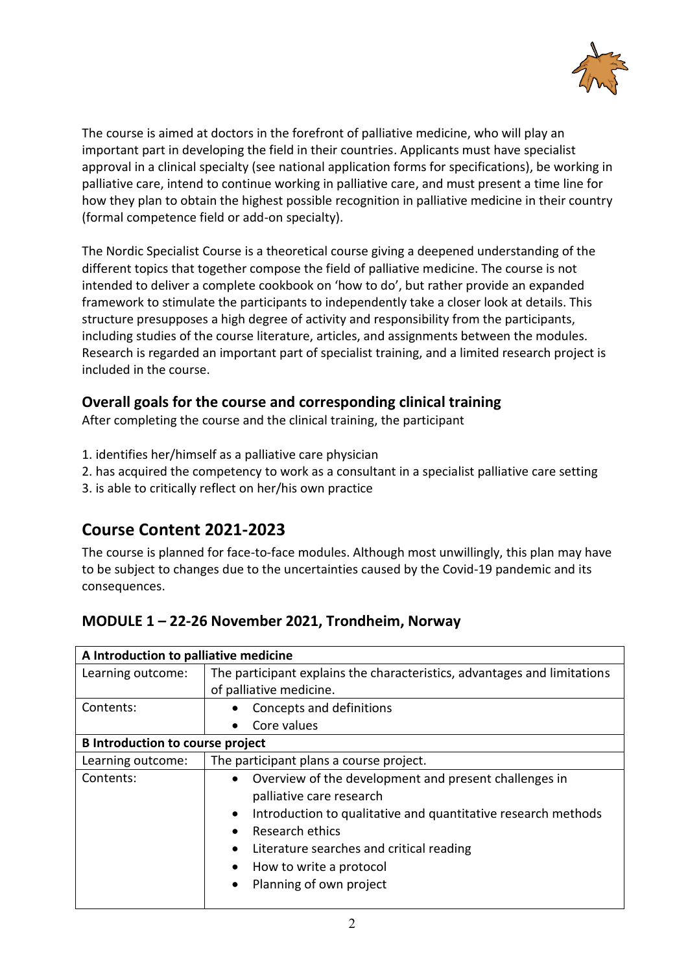

The course is aimed at doctors in the forefront of palliative medicine, who will play an important part in developing the field in their countries. Applicants must have specialist approval in a clinical specialty (see national application forms for specifications), be working in palliative care, intend to continue working in palliative care, and must present a time line for how they plan to obtain the highest possible recognition in palliative medicine in their country (formal competence field or add-on specialty).

The Nordic Specialist Course is a theoretical course giving a deepened understanding of the different topics that together compose the field of palliative medicine. The course is not intended to deliver a complete cookbook on 'how to do', but rather provide an expanded framework to stimulate the participants to independently take a closer look at details. This structure presupposes a high degree of activity and responsibility from the participants, including studies of the course literature, articles, and assignments between the modules. Research is regarded an important part of specialist training, and a limited research project is included in the course.

### **Overall goals for the course and corresponding clinical training**

After completing the course and the clinical training, the participant

- 1. identifies her/himself as a palliative care physician
- 2. has acquired the competency to work as a consultant in a specialist palliative care setting
- 3. is able to critically reflect on her/his own practice

## **Course Content 2021-2023**

The course is planned for face-to-face modules. Although most unwillingly, this plan may have to be subject to changes due to the uncertainties caused by the Covid-19 pandemic and its consequences.

| MODULE 1-22-26 November 2021, Trondheim, Norway |
|-------------------------------------------------|
|-------------------------------------------------|

| A Introduction to palliative medicine   |                                                                                                                                                                                                                                                                                                                                          |
|-----------------------------------------|------------------------------------------------------------------------------------------------------------------------------------------------------------------------------------------------------------------------------------------------------------------------------------------------------------------------------------------|
| Learning outcome:                       | The participant explains the characteristics, advantages and limitations                                                                                                                                                                                                                                                                 |
|                                         | of palliative medicine.                                                                                                                                                                                                                                                                                                                  |
| Contents:                               | Concepts and definitions                                                                                                                                                                                                                                                                                                                 |
|                                         | Core values                                                                                                                                                                                                                                                                                                                              |
| <b>B</b> Introduction to course project |                                                                                                                                                                                                                                                                                                                                          |
| Learning outcome:                       | The participant plans a course project.                                                                                                                                                                                                                                                                                                  |
| Contents:                               | Overview of the development and present challenges in<br>$\bullet$<br>palliative care research<br>Introduction to qualitative and quantitative research methods<br>$\bullet$<br>Research ethics<br>$\bullet$<br>Literature searches and critical reading<br>How to write a protocol<br>$\bullet$<br>Planning of own project<br>$\bullet$ |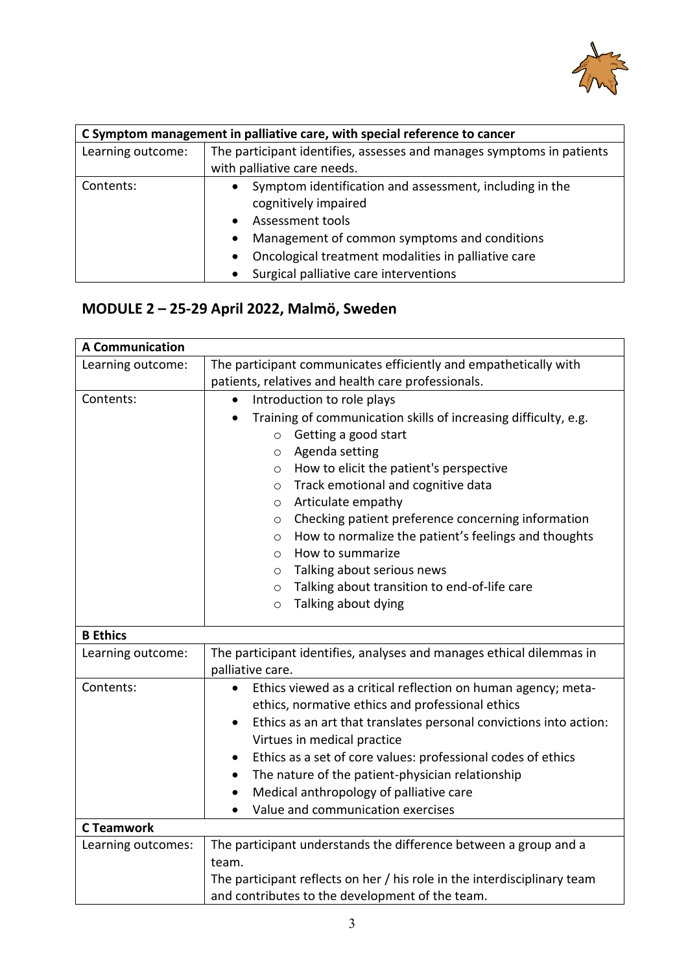

| C Symptom management in palliative care, with special reference to cancer |                                                                                                                                                                                                                                                                                                                       |
|---------------------------------------------------------------------------|-----------------------------------------------------------------------------------------------------------------------------------------------------------------------------------------------------------------------------------------------------------------------------------------------------------------------|
| Learning outcome:                                                         | The participant identifies, assesses and manages symptoms in patients                                                                                                                                                                                                                                                 |
|                                                                           | with palliative care needs.                                                                                                                                                                                                                                                                                           |
| Contents:                                                                 | Symptom identification and assessment, including in the<br>$\bullet$<br>cognitively impaired<br>Assessment tools<br>$\bullet$<br>Management of common symptoms and conditions<br>$\bullet$<br>Oncological treatment modalities in palliative care<br>$\bullet$<br>Surgical palliative care interventions<br>$\bullet$ |

## **MODULE 2 – 25-29 April 2022, Malmö, Sweden**

| <b>A Communication</b> |                                                                                 |
|------------------------|---------------------------------------------------------------------------------|
| Learning outcome:      | The participant communicates efficiently and empathetically with                |
|                        | patients, relatives and health care professionals.                              |
| Contents:              | Introduction to role plays<br>$\bullet$                                         |
|                        | Training of communication skills of increasing difficulty, e.g.<br>$\bullet$    |
|                        | $\circ$ Getting a good start                                                    |
|                        | Agenda setting<br>$\circ$                                                       |
|                        | How to elicit the patient's perspective<br>$\circ$                              |
|                        | Track emotional and cognitive data<br>$\circ$                                   |
|                        | Articulate empathy<br>$\circ$                                                   |
|                        | Checking patient preference concerning information<br>$\circ$                   |
|                        | How to normalize the patient's feelings and thoughts<br>$\circ$                 |
|                        | How to summarize<br>$\circ$                                                     |
|                        | Talking about serious news<br>$\circ$                                           |
|                        | Talking about transition to end-of-life care<br>$\circ$                         |
|                        | Talking about dying<br>$\circ$                                                  |
| <b>B</b> Ethics        |                                                                                 |
| Learning outcome:      | The participant identifies, analyses and manages ethical dilemmas in            |
|                        | palliative care.                                                                |
| Contents:              | Ethics viewed as a critical reflection on human agency; meta-                   |
|                        | ethics, normative ethics and professional ethics                                |
|                        | Ethics as an art that translates personal convictions into action:<br>$\bullet$ |
|                        | Virtues in medical practice                                                     |
|                        | Ethics as a set of core values: professional codes of ethics<br>$\bullet$       |
|                        | The nature of the patient-physician relationship<br>$\bullet$                   |
|                        | Medical anthropology of palliative care<br>$\bullet$                            |
|                        | Value and communication exercises                                               |
| <b>C</b> Teamwork      |                                                                                 |
| Learning outcomes:     | The participant understands the difference between a group and a                |
|                        | team.                                                                           |
|                        | The participant reflects on her / his role in the interdisciplinary team        |
|                        | and contributes to the development of the team.                                 |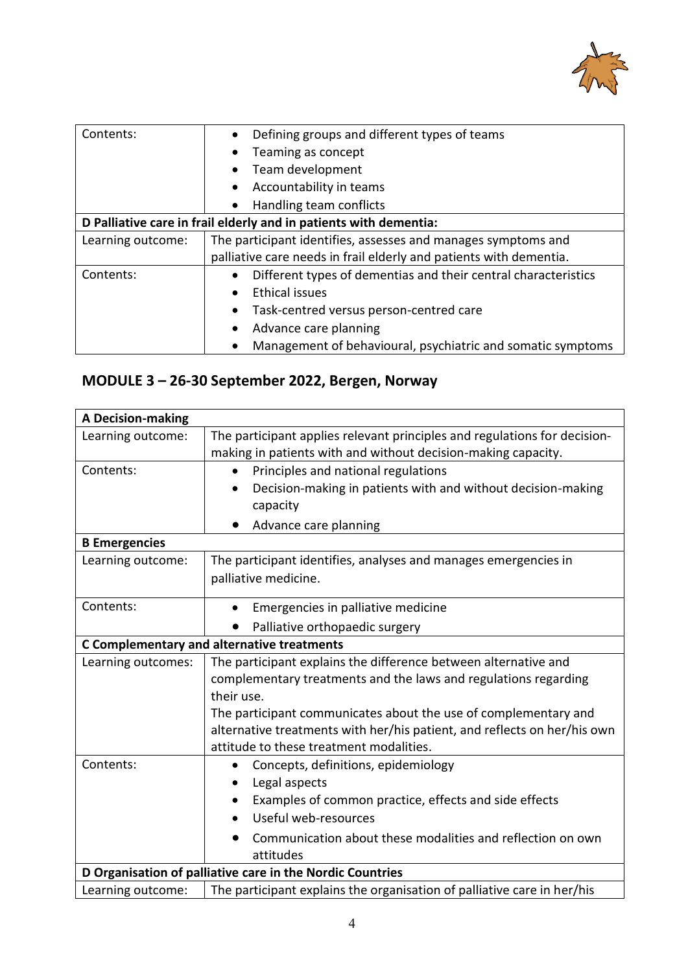

| Contents:                                                         | Defining groups and different types of teams<br>$\bullet$          |
|-------------------------------------------------------------------|--------------------------------------------------------------------|
|                                                                   | Teaming as concept<br>$\bullet$                                    |
|                                                                   | Team development                                                   |
|                                                                   | Accountability in teams                                            |
|                                                                   | Handling team conflicts                                            |
| D Palliative care in frail elderly and in patients with dementia: |                                                                    |
| Learning outcome:                                                 | The participant identifies, assesses and manages symptoms and      |
|                                                                   | palliative care needs in frail elderly and patients with dementia. |
| Contents:                                                         | Different types of dementias and their central characteristics     |
|                                                                   | <b>Ethical issues</b><br>$\bullet$                                 |
|                                                                   | Task-centred versus person-centred care<br>$\bullet$               |
|                                                                   | Advance care planning<br>$\bullet$                                 |
|                                                                   | Management of behavioural, psychiatric and somatic symptoms        |

## **MODULE 3 – 26-30 September 2022, Bergen, Norway**

| <b>A Decision-making</b>                                  |                                                                           |  |
|-----------------------------------------------------------|---------------------------------------------------------------------------|--|
| Learning outcome:                                         | The participant applies relevant principles and regulations for decision- |  |
|                                                           | making in patients with and without decision-making capacity.             |  |
| Contents:                                                 | Principles and national regulations                                       |  |
|                                                           | Decision-making in patients with and without decision-making<br>capacity  |  |
|                                                           | Advance care planning                                                     |  |
| <b>B</b> Emergencies                                      |                                                                           |  |
| Learning outcome:                                         | The participant identifies, analyses and manages emergencies in           |  |
|                                                           | palliative medicine.                                                      |  |
| Contents:                                                 | Emergencies in palliative medicine                                        |  |
|                                                           | Palliative orthopaedic surgery                                            |  |
|                                                           | <b>C Complementary and alternative treatments</b>                         |  |
| Learning outcomes:                                        | The participant explains the difference between alternative and           |  |
|                                                           | complementary treatments and the laws and regulations regarding           |  |
|                                                           | their use.                                                                |  |
|                                                           | The participant communicates about the use of complementary and           |  |
|                                                           | alternative treatments with her/his patient, and reflects on her/his own  |  |
|                                                           | attitude to these treatment modalities.                                   |  |
| Contents:                                                 | Concepts, definitions, epidemiology                                       |  |
|                                                           | Legal aspects                                                             |  |
|                                                           | Examples of common practice, effects and side effects                     |  |
|                                                           | Useful web-resources                                                      |  |
|                                                           | Communication about these modalities and reflection on own                |  |
|                                                           | attitudes                                                                 |  |
| D Organisation of palliative care in the Nordic Countries |                                                                           |  |
| Learning outcome:                                         | The participant explains the organisation of palliative care in her/his   |  |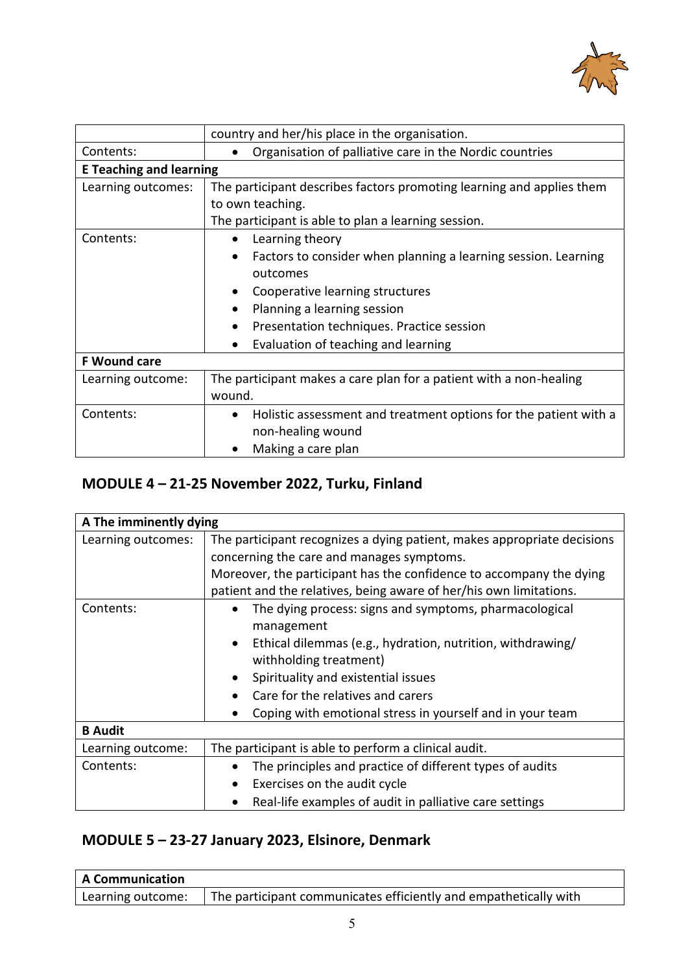

|                                | country and her/his place in the organisation.                                                                                                                                                                                                      |
|--------------------------------|-----------------------------------------------------------------------------------------------------------------------------------------------------------------------------------------------------------------------------------------------------|
| Contents:                      | Organisation of palliative care in the Nordic countries                                                                                                                                                                                             |
| <b>E Teaching and learning</b> |                                                                                                                                                                                                                                                     |
| Learning outcomes:             | The participant describes factors promoting learning and applies them<br>to own teaching.<br>The participant is able to plan a learning session.                                                                                                    |
| Contents:                      | Learning theory<br>Factors to consider when planning a learning session. Learning<br>outcomes<br>Cooperative learning structures<br>Planning a learning session<br>Presentation techniques. Practice session<br>Evaluation of teaching and learning |
| <b>F Wound care</b>            |                                                                                                                                                                                                                                                     |
| Learning outcome:              | The participant makes a care plan for a patient with a non-healing<br>wound.                                                                                                                                                                        |
| Contents:                      | Holistic assessment and treatment options for the patient with a<br>non-healing wound<br>Making a care plan                                                                                                                                         |

## **MODULE 4 – 21-25 November 2022, Turku, Finland**

| A The imminently dying |                                                                         |
|------------------------|-------------------------------------------------------------------------|
| Learning outcomes:     | The participant recognizes a dying patient, makes appropriate decisions |
|                        | concerning the care and manages symptoms.                               |
|                        | Moreover, the participant has the confidence to accompany the dying     |
|                        | patient and the relatives, being aware of her/his own limitations.      |
| Contents:              | The dying process: signs and symptoms, pharmacological<br>$\bullet$     |
|                        | management                                                              |
|                        | Ethical dilemmas (e.g., hydration, nutrition, withdrawing/<br>$\bullet$ |
|                        | withholding treatment)                                                  |
|                        | Spirituality and existential issues                                     |
|                        | Care for the relatives and carers                                       |
|                        | Coping with emotional stress in yourself and in your team               |
| <b>B</b> Audit         |                                                                         |
| Learning outcome:      | The participant is able to perform a clinical audit.                    |
| Contents:              | The principles and practice of different types of audits                |
|                        | Exercises on the audit cycle<br>$\bullet$                               |
|                        | Real-life examples of audit in palliative care settings                 |

## **MODULE 5 – 23-27 January 2023, Elsinore, Denmark**

| A Communication   |                                                                  |
|-------------------|------------------------------------------------------------------|
| Learning outcome: | The participant communicates efficiently and empathetically with |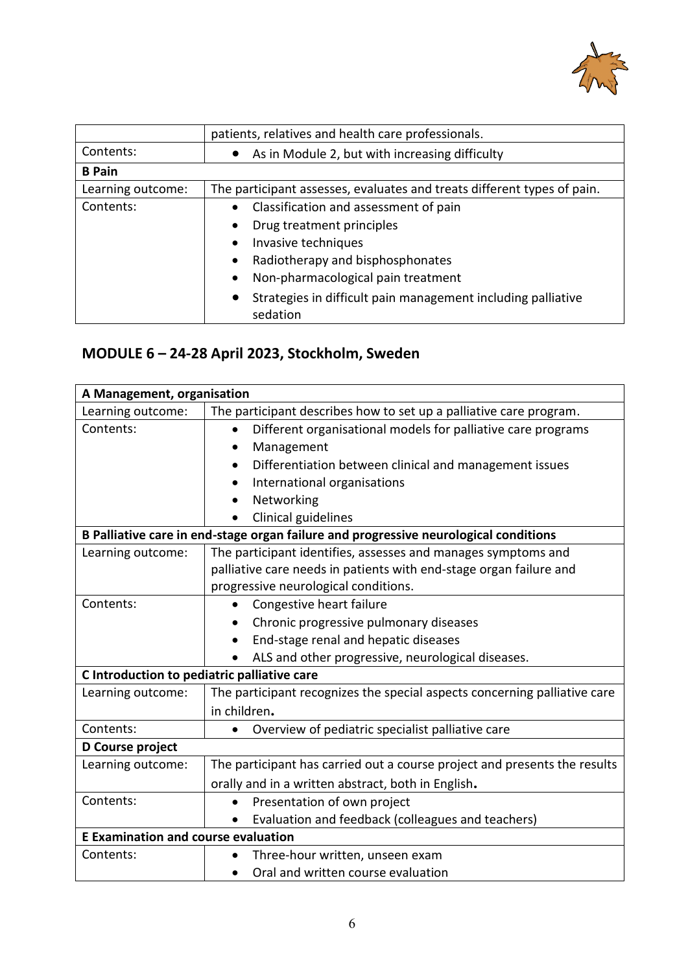

|                   | patients, relatives and health care professionals.                                    |
|-------------------|---------------------------------------------------------------------------------------|
| Contents:         | As in Module 2, but with increasing difficulty<br>$\bullet$                           |
| <b>B</b> Pain     |                                                                                       |
| Learning outcome: | The participant assesses, evaluates and treats different types of pain.               |
| Contents:         | • Classification and assessment of pain                                               |
|                   | Drug treatment principles                                                             |
|                   | Invasive techniques<br>$\bullet$                                                      |
|                   | Radiotherapy and bisphosphonates<br>٠                                                 |
|                   | Non-pharmacological pain treatment<br>$\bullet$                                       |
|                   | Strategies in difficult pain management including palliative<br>$\bullet$<br>sedation |

## **MODULE 6 – 24-28 April 2023, Stockholm, Sweden**

|                                             | A Management, organisation                                                           |  |
|---------------------------------------------|--------------------------------------------------------------------------------------|--|
| Learning outcome:                           | The participant describes how to set up a palliative care program.                   |  |
| Contents:                                   | Different organisational models for palliative care programs                         |  |
|                                             | Management                                                                           |  |
|                                             | Differentiation between clinical and management issues                               |  |
|                                             | International organisations                                                          |  |
|                                             | Networking                                                                           |  |
|                                             | Clinical guidelines                                                                  |  |
|                                             | B Palliative care in end-stage organ failure and progressive neurological conditions |  |
| Learning outcome:                           | The participant identifies, assesses and manages symptoms and                        |  |
|                                             | palliative care needs in patients with end-stage organ failure and                   |  |
|                                             | progressive neurological conditions.                                                 |  |
| Contents:                                   | Congestive heart failure                                                             |  |
|                                             | Chronic progressive pulmonary diseases<br>$\bullet$                                  |  |
|                                             | End-stage renal and hepatic diseases                                                 |  |
|                                             | ALS and other progressive, neurological diseases.                                    |  |
| C Introduction to pediatric palliative care |                                                                                      |  |
| Learning outcome:                           | The participant recognizes the special aspects concerning palliative care            |  |
|                                             | in children.                                                                         |  |
| Contents:                                   | Overview of pediatric specialist palliative care                                     |  |
| D Course project                            |                                                                                      |  |
| Learning outcome:                           | The participant has carried out a course project and presents the results            |  |
|                                             | orally and in a written abstract, both in English.                                   |  |
| Contents:                                   | Presentation of own project<br>$\bullet$                                             |  |
|                                             | Evaluation and feedback (colleagues and teachers)                                    |  |
| <b>E Examination and course evaluation</b>  |                                                                                      |  |
| Contents:                                   | Three-hour written, unseen exam                                                      |  |
|                                             | Oral and written course evaluation<br>$\bullet$                                      |  |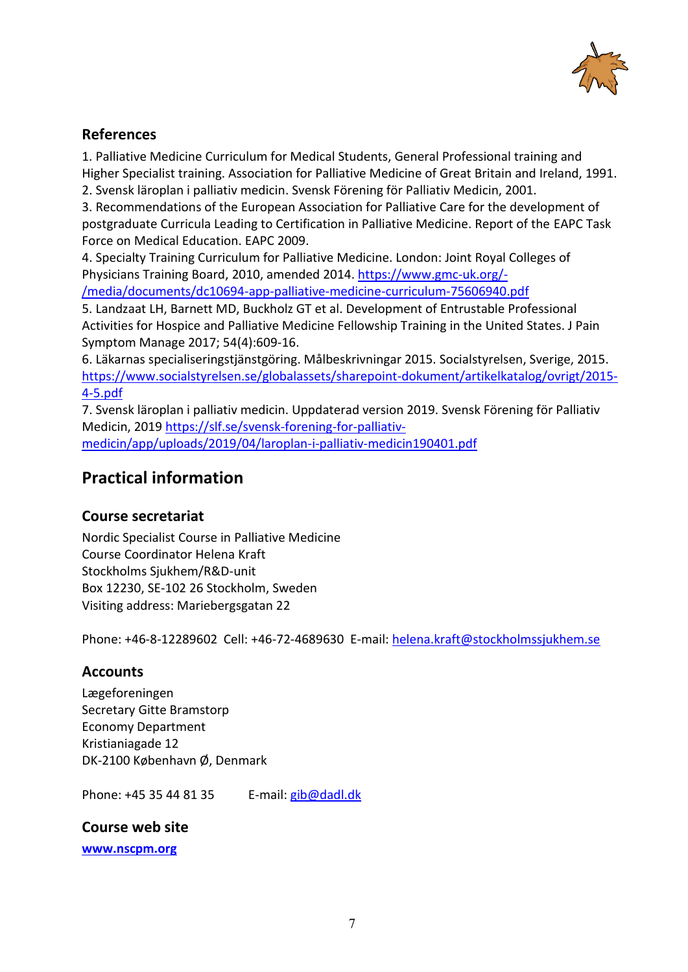

### **References**

1. Palliative Medicine Curriculum for Medical Students, General Professional training and Higher Specialist training. Association for Palliative Medicine of Great Britain and Ireland, 1991.

2. Svensk läroplan i palliativ medicin. Svensk Förening för Palliativ Medicin, 2001.

3. Recommendations of the European Association for Palliative Care for the development of postgraduate Curricula Leading to Certification in Palliative Medicine. Report of the EAPC Task Force on Medical Education. EAPC 2009.

4. Specialty Training Curriculum for Palliative Medicine. London: Joint Royal Colleges of Physicians Training Board, 2010, amended 2014[. https://www.gmc-uk.org/-](https://www.gmc-uk.org/-/media/documents/dc10694-app-palliative-medicine-curriculum-75606940.pdf) [/media/documents/dc10694-app-palliative-medicine-curriculum-75606940.pdf](https://www.gmc-uk.org/-/media/documents/dc10694-app-palliative-medicine-curriculum-75606940.pdf)

5. Landzaat LH, Barnett MD, Buckholz GT et al. Development of Entrustable Professional Activities for Hospice and Palliative Medicine Fellowship Training in the United States. J Pain Symptom Manage 2017; 54(4):609-16.

6. Läkarnas specialiseringstjänstgöring. Målbeskrivningar 2015. Socialstyrelsen, Sverige, 2015. [https://www.socialstyrelsen.se/globalassets/sharepoint-dokument/artikelkatalog/ovrigt/2015-](https://www.socialstyrelsen.se/globalassets/sharepoint-dokument/artikelkatalog/ovrigt/2015-4-5.pdf) [4-5.pdf](https://www.socialstyrelsen.se/globalassets/sharepoint-dokument/artikelkatalog/ovrigt/2015-4-5.pdf)

7. Svensk läroplan i palliativ medicin. Uppdaterad version 2019. Svensk Förening för Palliativ Medicin, 2019 [https://slf.se/svensk-forening-for-palliativ](https://slf.se/svensk-forening-for-palliativ-medicin/app/uploads/2019/04/laroplan-i-palliativ-medicin190401.pdf)[medicin/app/uploads/2019/04/laroplan-i-palliativ-medicin190401.pdf](https://slf.se/svensk-forening-for-palliativ-medicin/app/uploads/2019/04/laroplan-i-palliativ-medicin190401.pdf)

## **Practical information**

#### **Course secretariat**

Nordic Specialist Course in Palliative Medicine Course Coordinator Helena Kraft Stockholms Sjukhem/R&D-unit Box 12230, SE-102 26 Stockholm, Sweden Visiting address: Mariebergsgatan 22

Phone: +46-8-12289602 Cell: +46-72-4689630 E-mail: [helena.kraft@stockholmssjukhem.se](mailto:helena.kraft@stockholmssjukhem.se)

#### **Accounts**

Lægeforeningen Secretary Gitte Bramstorp Economy Department Kristianiagade 12 DK-2100 København Ø, Denmark

Phone: +45 35 44 81 35 E-mail: [gib@dadl.dk](mailto:gib@dadl.dk)

#### **Course web site**

**[www.nscpm.org](http://www.nscpm.org/)**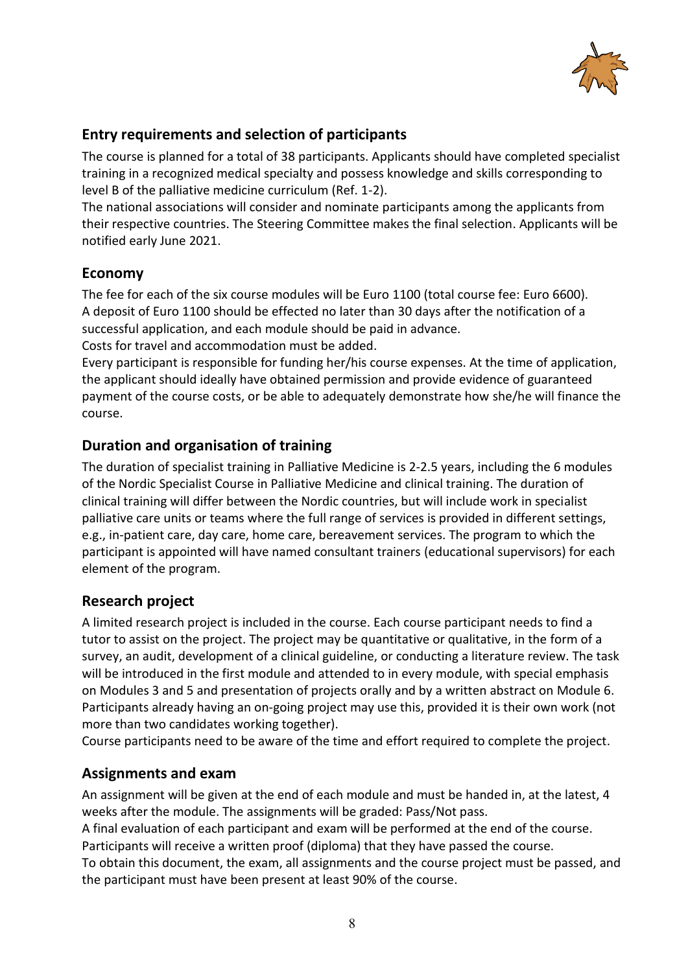

## **Entry requirements and selection of participants**

The course is planned for a total of 38 participants. Applicants should have completed specialist training in a recognized medical specialty and possess knowledge and skills corresponding to level B of the palliative medicine curriculum (Ref. 1-2).

The national associations will consider and nominate participants among the applicants from their respective countries. The Steering Committee makes the final selection. Applicants will be notified early June 2021.

### **Economy**

The fee for each of the six course modules will be Euro 1100 (total course fee: Euro 6600). A deposit of Euro 1100 should be effected no later than 30 days after the notification of a successful application, and each module should be paid in advance. Costs for travel and accommodation must be added.

Every participant is responsible for funding her/his course expenses. At the time of application, the applicant should ideally have obtained permission and provide evidence of guaranteed payment of the course costs, or be able to adequately demonstrate how she/he will finance the course.

### **Duration and organisation of training**

The duration of specialist training in Palliative Medicine is 2-2.5 years, including the 6 modules of the Nordic Specialist Course in Palliative Medicine and clinical training. The duration of clinical training will differ between the Nordic countries, but will include work in specialist palliative care units or teams where the full range of services is provided in different settings, e.g., in-patient care, day care, home care, bereavement services. The program to which the participant is appointed will have named consultant trainers (educational supervisors) for each element of the program.

#### **Research project**

A limited research project is included in the course. Each course participant needs to find a tutor to assist on the project. The project may be quantitative or qualitative, in the form of a survey, an audit, development of a clinical guideline, or conducting a literature review. The task will be introduced in the first module and attended to in every module, with special emphasis on Modules 3 and 5 and presentation of projects orally and by a written abstract on Module 6. Participants already having an on-going project may use this, provided it is their own work (not more than two candidates working together).

Course participants need to be aware of the time and effort required to complete the project.

#### **Assignments and exam**

An assignment will be given at the end of each module and must be handed in, at the latest, 4 weeks after the module. The assignments will be graded: Pass/Not pass.

A final evaluation of each participant and exam will be performed at the end of the course. Participants will receive a written proof (diploma) that they have passed the course.

To obtain this document, the exam, all assignments and the course project must be passed, and the participant must have been present at least 90% of the course.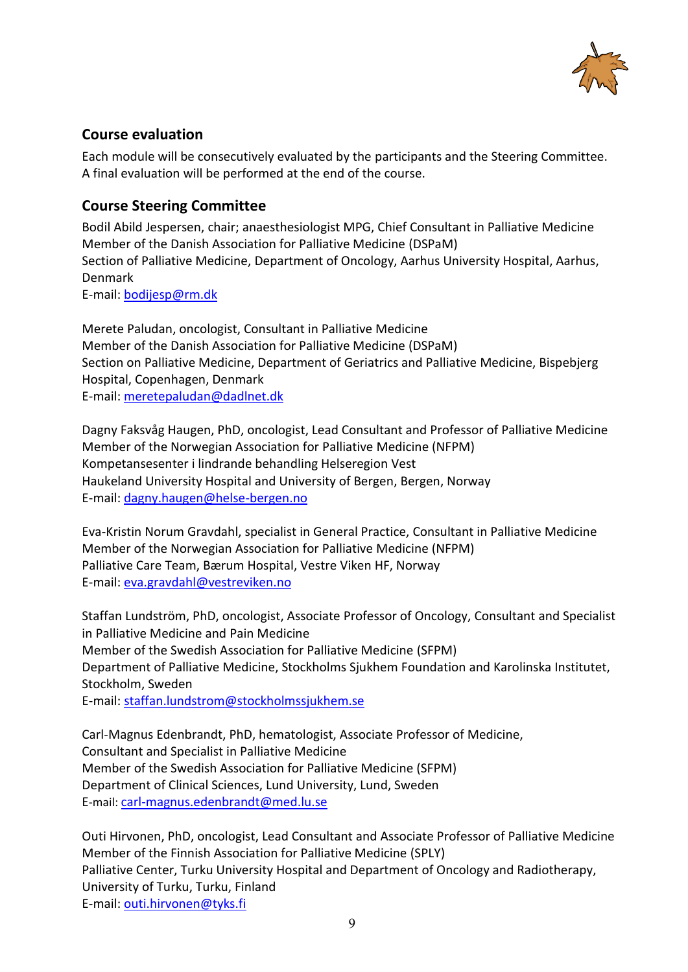

### **Course evaluation**

Each module will be consecutively evaluated by the participants and the Steering Committee. A final evaluation will be performed at the end of the course.

#### **Course Steering Committee**

Bodil Abild Jespersen, chair; anaesthesiologist MPG, Chief Consultant in Palliative Medicine Member of the Danish Association for Palliative Medicine (DSPaM) Section of Palliative Medicine, Department of Oncology, Aarhus University Hospital, Aarhus, Denmark E-mail: [bodijesp@rm.dk](mailto:bodijesp@rm.dk)

Merete Paludan, oncologist, Consultant in Palliative Medicine Member of the Danish Association for Palliative Medicine (DSPaM) Section on Palliative Medicine, Department of Geriatrics and Palliative Medicine, Bispebjerg Hospital, Copenhagen, Denmark E-mail: [meretepaludan@dadlnet.dk](mailto:meretepaludan@dadlnet.dk) 

Dagny Faksvåg Haugen, PhD, oncologist, Lead Consultant and Professor of Palliative Medicine Member of the Norwegian Association for Palliative Medicine (NFPM) Kompetansesenter i lindrande behandling Helseregion Vest Haukeland University Hospital and University of Bergen, Bergen, Norway E-mail: [dagny.haugen@helse-bergen.no](mailto:dagny.haugen@helse-bergen.no)

Eva-Kristin Norum Gravdahl, specialist in General Practice, Consultant in Palliative Medicine Member of the Norwegian Association for Palliative Medicine (NFPM) Palliative Care Team, Bærum Hospital, Vestre Viken HF, Norway E-mail: [eva.gravdahl@vestreviken.no](mailto:eva.gravdahl@vestreviken.no)

Staffan Lundström, PhD, oncologist, Associate Professor of Oncology, Consultant and Specialist in Palliative Medicine and Pain Medicine Member of the Swedish Association for Palliative Medicine (SFPM) Department of Palliative Medicine, Stockholms Sjukhem Foundation and Karolinska Institutet, Stockholm, Sweden E-mail: [staffan.lundstrom@stockholmssjukhem.se](mailto:staffan.lundstrom@stockholmssjukhem.se)

Carl-Magnus Edenbrandt, PhD, hematologist, Associate Professor of Medicine, Consultant and Specialist in Palliative Medicine Member of the Swedish Association for Palliative Medicine (SFPM) Department of Clinical Sciences, Lund University, Lund, Sweden E-mail: [carl-magnus.edenbrandt@med.lu.se](mailto:carl-magnus.edenbrandt@med.lu.se)

Outi Hirvonen, PhD, oncologist, Lead Consultant and Associate Professor of Palliative Medicine Member of the Finnish Association for Palliative Medicine (SPLY) Palliative Center, Turku University Hospital and Department of Oncology and Radiotherapy, University of Turku, Turku, Finland E-mail: [outi.hirvonen@tyks.fi](mailto:outi.hirvonen@tyks.fi)